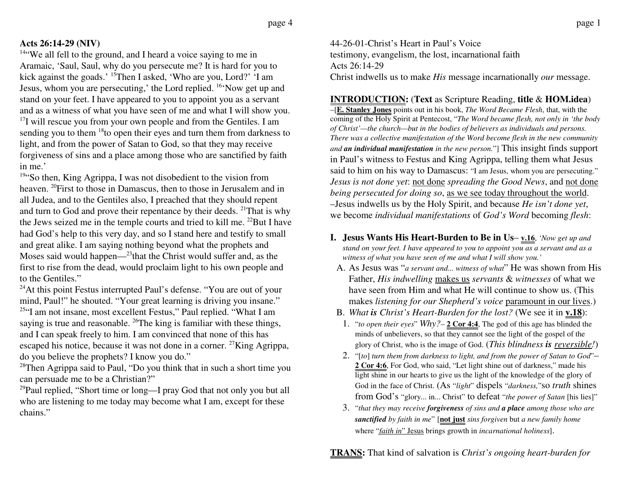## **Acts 26:14-29 (NIV)**

14"We all fell to the ground, and I heard a voice saying to me in Aramaic, 'Saul, Saul, why do you persecute me? It is hard for you to kick against the goads.' 15Then I asked, 'Who are you, Lord?' 'I am Jesus, whom you are persecuting,' the Lord replied. 16'Now get up and stand on your feet. I have appeared to you to appoint you as a servant and as a witness of what you have seen of me and what I will show you.  $17$ I will rescue you from your own people and from the Gentiles. I am sending you to them <sup>18</sup>to open their eyes and turn them from darkness to light, and from the power of Satan to God, so that they may receive forgiveness of sins and a place among those who are sanctified by faith in me.'

19"So then, King Agrippa, I was not disobedient to the vision from heaven. 20First to those in Damascus, then to those in Jerusalem and in all Judea, and to the Gentiles also, I preached that they should repent and turn to God and prove their repentance by their deeds. <sup>21</sup>That is why the Jews seized me in the temple courts and tried to kill me. <sup>22</sup>But I have had God's help to this very day, and so I stand here and testify to small and great alike. I am saying nothing beyond what the prophets and Moses said would happen— $^{23}$ that the Christ would suffer and, as the first to rise from the dead, would proclaim light to his own people and to the Gentiles."

<sup>24</sup>At this point Festus interrupted Paul's defense. "You are out of your mind, Paul!" he shouted. "Your great learning is driving you insane." <sup>25"</sup>I am not insane, most excellent Festus," Paul replied. "What I am saying is true and reasonable.  $^{26}$ The king is familiar with these things, and I can speak freely to him. I am convinced that none of this has escaped his notice, because it was not done in a corner. <sup>27</sup>King Agrippa, do you believe the prophets? I know you do."

<sup>28</sup>Then Agrippa said to Paul, "Do you think that in such a short time you can persuade me to be a Christian?"

 $29$ Paul replied, "Short time or long—I pray God that not only you but all who are listening to me today may become what I am, except for these chains."

44-26-01-Christ's Heart in Paul's Voicetestimony, evangelism, the lost, incarnational faith Acts 26:14-29Christ indwells us to make *His* message incarnationally *our* message.

## **INTRODUCTION:** (**Text** as Scripture Reading, **title** & **HOM.idea**)

–[**E. Stanley Jones** points out in his book, *The Word Became Flesh*, that, with the coming of the Holy Spirit at Pentecost, "*The Word became flesh, not only in 'the body of Christ'—the church—but in the bodies of believers as individuals and persons. There was a collective manifestation of the Word become flesh in the new community and an individual manifestation in the new person.*"] This insight finds support in Paul's witness to Festus and King Agrippa, telling them what Jesus said to him on his way to Damascus: "I am Jesus, whom you are persecuting." *Jesus is not done yet*: not done *spreading the Good News*, and not done *being persecuted for doing so*, as we see today throughout the world. –Jesus indwells us by the Holy Spirit, and because *He isn't done yet*, we become *individual manifestations* of *God's Word* becoming *flesh*:

- **I. Jesus Wants His Heart-Burden to Be in Us v.16**, *'Now get up and stand on your feet. I have appeared to you to appoint you as a servant and as a witness of what you have seen of me and what I will show you.'*
	- A. As Jesus was "*a servant and... witness of what*" He was shown from His Father, *His indwelling* makes us *servants* & *witnesses* of what we have seen from Him and what He will continue to show us. (This makes *listening for our Shepherd's voice* paramount in our lives.)
	- B. *What is Christ's Heart-Burden for the lost?* (We see it in **v.18**):
	- 1. "*to open their eyes*" *Why?* **2 Cor 4:4**, The god of this age has blinded the minds of unbelievers, so that they cannot see the light of the gospel of the <sup>g</sup>lory of Christ, who is the image of God. (*This blindness is reversible!*)
	- 2. "[*to*] *turn them from darkness to light, and from the power of Satan to God*"– **2 Cor 4:6**, For God, who said, "Let light shine out of darkness," made his light shine in our hearts to give us the light of the knowledge of the glory of God in the face of Christ. (As "*light*" dispels "*darkness,*"so *truth* shines from God's "glory... in... Christ" to defeat "*the power of Satan* [his lies]"
	- 3. "*that they may receive forgiveness of sins and a place among those who are sanctified by faith in me*" [**not just** *sins forgiven* but *a new family home* where "*faith in*" Jesus brings growth in *incarnational holiness*].

**TRANS:** That kind of salvation is *Christ's ongoing heart-burden for*